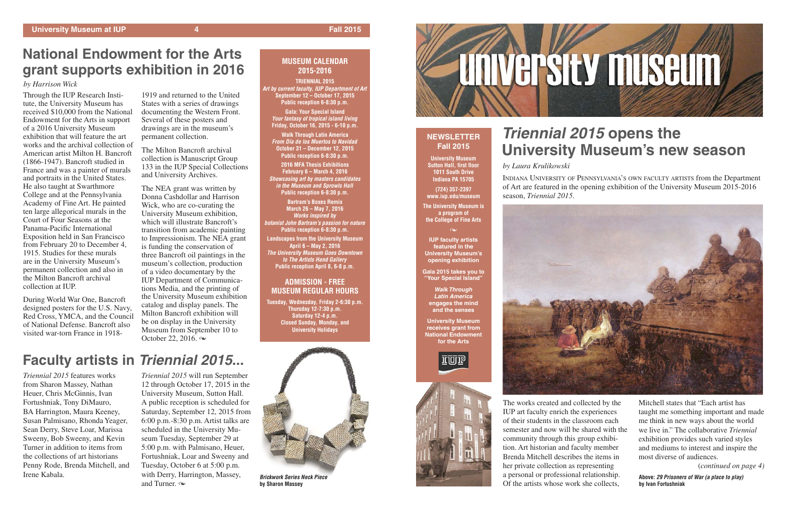## **MUSEUM CALENDAR 2015-2016**

**TRIENNIAL 2015** *Art by current faculty, IUP Department of Art* **September 12 – October 17, 2015 Public reception 6-8:30 p.m.**

**Gala: Your Special Island** *Your fantasy of tropical island living* **Friday, October 16, 2015 - 6-10 p.m.**

**Walk Through Latin America** *From Día de los Muertos to Navidad* **October 31 – December 12, 2015 Public reception 6-8:30 p.m.**

**2016 MFA Thesis Exhibitions February 6 – March 4, 2016** *Showcasing art by masters candidates in the Museum and Sprowls Hall* **Public reception 6-8:30 p.m.**

**Bartram's Boxes Remix March 26 – May 7, 2016** *Works inspired by botanist John Bartram's passion for nature* **Public reception 6-8:30 p.m. Landscapes from the University Museum April 6 – May 2, 2016** *The University Museum Goes Downtown to The Artists Hand Gallery* **Public reception April 8, 6-8 p.m.**

## **ADMISSION - FREE MUSEUM REGULAR HOURS**

**Tuesday, Wednesday, Friday 2-6:30 p.m. Thursday 12-7:30 p.m. Saturday 12-4 p.m. Closed Sunday, Monday, and University Holidays**

# *Triennial 2015* **opens the University Museum's new season**

*by Laura Krulikowski*

*Triennial 2015* will run September 12 through October 17, 2015 in the University Museum, Sutton Hall. A public reception is scheduled for Saturday, September 12, 2015 from 6:00 p.m.-8:30 p.m. Artist talks are scheduled in the University Museum Tuesday, September 29 at 5:00 p.m. with Palmisano, Heuer, Fortushniak, Loar and Sweeny and Tuesday, October 6 at 5:00 p.m. with Derry, Harrington, Massey, and Turner.  $\infty$ 

INDIANA UNIVERSITY OF PENNSYLVANIA'S OWN FACULTY ARTISTS from the Department of Art are featured in the opening exhibition of the University Museum 2015-2016

season, *Triennial 2015*.



The works created and collected by the IUP art faculty enrich the experiences of their students in the classroom each semester and now will be shared with the community through this group exhibition. Art historian and faculty member Brenda Mitchell describes the items in her private collection as representing a personal or professional relationship. Of the artists whose work she collects,



### $\infty$ **IUP faculty artists featured in the University Museum's opening exhibition**

Mitchell states that "Each artist has taught me something important and made me think in new ways about the world we live in." The collaborative *Triennial* exhibition provides such varied styles and mediums to interest and inspire the most diverse of audiences.

(*continued on page 4)*

*Triennial 2015* features works from Sharon Massey, Nathan Heuer, Chris McGinnis, Ivan Fortushniak, Tony DiMauro, BA Harrington, Maura Keeney, Susan Palmisano, Rhonda Yeager, Sean Derry, Steve Loar, Marissa Sweeny, Bob Sweeny, and Kevin Turner in addition to items from the collections of art historians Penny Rode, Brenda Mitchell, and Irene Kabala.

The NEA grant was written by Donna Cashdollar and Harrison Wick, who are co-curating the University Museum exhibition, which will illustrate Bancroft's transition from academic painting to Impressionism. The NEA grant is funding the conservation of three Bancroft oil paintings in the museum's collection, production of a video documentary by the IUP Department of Communications Media, and the printing of the University Museum exhibition catalog and display panels. The Milton Bancroft exhibition will be on display in the University Museum from September 10 to October 22, 2016.  $\infty$ 

> **Above:** *29 Prisoners of War (a place to play)* **by Ivan Fortushniak**

## **NEWSLETTER Fall 2015**

**University Museum Sutton Hall, first floor 1011 South Drive Indiana PA 15705**

**(724) 357-2397 www.iup.edu/museum**

**The University Museum is a program of the College of Fine Arts**

**Gala 2015 takes you to "Your Special Island"**

*Walk Through Latin America*  **engages the mind and the senses**

**University Museum receives grant from National Endowment for the Arts**





# **National Endowment for the Arts grant supports exhibition in 2016**

*by Harrison Wick*

Through the IUP Research Institute, the University Museum has received \$10,000 from the National Endowment for the Arts in support of a 2016 University Museum exhibition that will feature the art works and the archival collection of American artist Milton H. Bancroft (1866-1947). Bancroft studied in France and was a painter of murals and portraits in the United States. He also taught at Swarthmore College and at the Pennsylvania Academy of Fine Art. He painted ten large allegorical murals in the Court of Four Seasons at the Panama-Pacific International Exposition held in San Francisco from February 20 to December 4, 1915. Studies for these murals are in the University Museum's permanent collection and also in the Milton Bancroft archival collection at IUP.

During World War One, Bancroft designed posters for the U.S. Navy, Red Cross, YMCA, and the Council of National Defense. Bancroft also visited war-torn France in 1918-

### 1919 and returned to the United States with a series of drawings documenting the Western Front. Several of these posters and drawings are in the museum's permanent collection.

The Milton Bancroft archival collection is Manuscript Group 133 in the IUP Special Collections and University Archives.

# **Faculty artists in** *Triennial 2015***...**



*Brickwork Series Neck Piece* **by Sharon Massey**